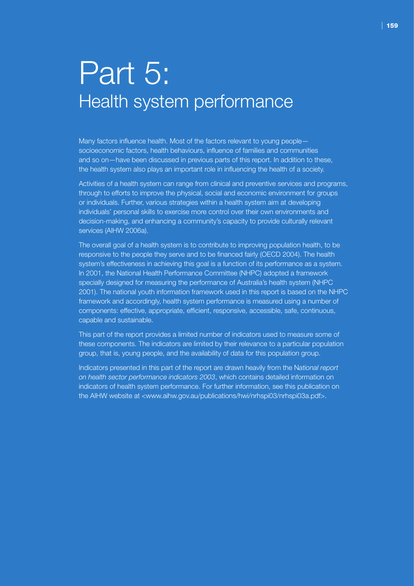# Part 5: Health system performance

Many factors influence health. Most of the factors relevant to young people socioeconomic factors, health behaviours, influence of families and communities and so on—have been discussed in previous parts of this report. In addition to these, the health system also plays an important role in influencing the health of a society.

Activities of a health system can range from clinical and preventive services and programs, through to efforts to improve the physical, social and economic environment for groups or individuals. Further, various strategies within a health system aim at developing individuals' personal skills to exercise more control over their own environments and decision-making, and enhancing a community's capacity to provide culturally relevant services (AIHW 2006a).

The overall goal of a health system is to contribute to improving population health, to be responsive to the people they serve and to be financed fairly (OECD 2004). The health system's effectiveness in achieving this goal is a function of its performance as a system. In 2001, the National Health Performance Committee (NHPC) adopted a framework specially designed for measuring the performance of Australia's health system (NHPC 2001). The national youth information framework used in this report is based on the NHPC framework and accordingly, health system performance is measured using a number of components: effective, appropriate, efficient, responsive, accessible, safe, continuous, capable and sustainable.

This part of the report provides a limited number of indicators used to measure some of these components. The indicators are limited by their relevance to a particular population group, that is, young people, and the availability of data for this population group.

Indicators presented in this part of the report are drawn heavily from the N*ational report on health sector performance indicators 2003*, which contains detailed information on indicators of health system performance. For further information, see this publication on the AIHW website at <www.aihw.gov.au/publications/hwi/nrhspi03/nrhspi03a.pdf>.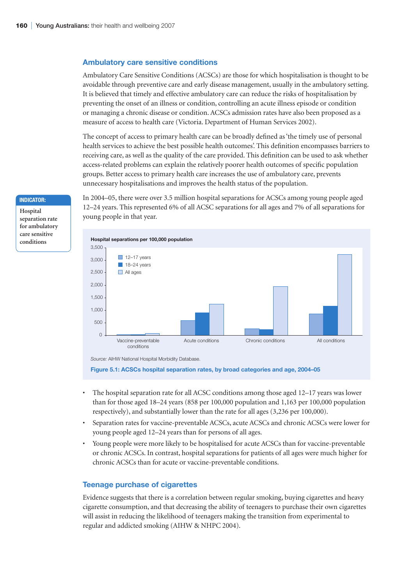### **Ambulatory care sensitive conditions**

Ambulatory Care Sensitive Conditions (ACSCs) are those for which hospitalisation is thought to be avoidable through preventive care and early disease management, usually in the ambulatory setting. It is believed that timely and effective ambulatory care can reduce the risks of hospitalisation by preventing the onset of an illness or condition, controlling an acute illness episode or condition or managing a chronic disease or condition. ACSCs admission rates have also been proposed as a measure of access to health care (Victoria. Department of Human Services 2002).

The concept of access to primary health care can be broadly defined as 'the timely use of personal health services to achieve the best possible health outcomes'. This definition encompasses barriers to receiving care, as well as the quality of the care provided. This definition can be used to ask whether access-related problems can explain the relatively poorer health outcomes of specific population groups. Better access to primary health care increases the use of ambulatory care, prevents unnecessary hospitalisations and improves the health status of the population.

In 2004–05, there were over 3.5 million hospital separations for ACSCs among young people aged 12–24 years. This represented 6% of all ACSC separations for all ages and 7% of all separations for young people in that year.





**Figure 5.1: ACSCs hospital separation rates, by broad categories and age, 2004–05**

- The hospital separation rate for all ACSC conditions among those aged 12–17 years was lower than for those aged 18–24 years (858 per 100,000 population and 1,163 per 100,000 population respectively), and substantially lower than the rate for all ages (3,236 per 100,000).
- Separation rates for vaccine-preventable ACSCs, acute ACSCs and chronic ACSCs were lower for young people aged 12–24 years than for persons of all ages.
- Young people were more likely to be hospitalised for acute ACSCs than for vaccine-preventable or chronic ACSCs. In contrast, hospital separations for patients of all ages were much higher for chronic ACSCs than for acute or vaccine-preventable conditions.

## **Teenage purchase of cigarettes**

Evidence suggests that there is a correlation between regular smoking, buying cigarettes and heavy cigarette consumption, and that decreasing the ability of teenagers to purchase their own cigarettes will assist in reducing the likelihood of teenagers making the transition from experimental to regular and addicted smoking (AIHW & NHPC 2004).

#### **Indicator:**

**Hospital separation rate for ambulatory care sensitive conditions**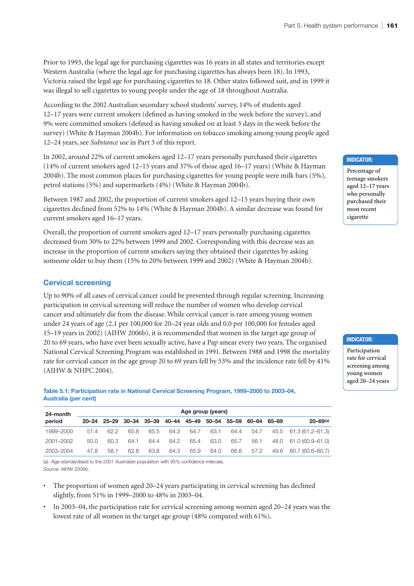Prior to 1993, the legal age for purchasing cigarettes was 16 years in all states and territories except Western Australia (where the legal age for purchasing cigarettes has always been 18). In 1993, Victoria raised the legal age for purchasing cigarettes to 18. Other states followed suit, and in 1999 it was illegal to sell cigarettes to young people under the age of 18 throughout Australia.

According to the 2002 Australian secondary school students' survey, 14% of students aged 12–17 years were current smokers (defined as having smoked in the week before the survey), and 9% were committed smokers (defined as having smoked on at least 3 days in the week before the survey) (White & Hayman 2004b). For information on tobacco smoking among young people aged 12–24 years, see *Substance use* in Part 3 of this report.

In 2002, around 22% of current smokers aged 12–17 years personally purchased their cigarettes (14% of current smokers aged 12–15 years and 37% of those aged 16–17 years) (White & Hayman 2004b). The most common places for purchasing cigarettes for young people were milk bars (5%), petrol stations (5%) and supermarkets (4%) (White & Hayman 2004b).

Between 1987 and 2002, the proportion of current smokers aged 12–15 years buying their own cigarettes declined from 52% to 14% (White & Hayman 2004b). A similar decrease was found for current smokers aged 16–17 years.

Overall, the proportion of current smokers aged 12–17 years personally purchasing cigarettes decreased from 30% to 22% between 1999 and 2002. Corresponding with this decrease was an increase in the proportion of current smokers saying they obtained their cigarettes by asking someone older to buy them (15% to 20% between 1999 and 2002) (White & Hayman 2004b).

## **Cervical screening**

Up to 90% of all cases of cervical cancer could be prevented through regular screening. Increasing participation in cervical screening will reduce the number of women who develop cervical cancer and ultimately die from the disease. While cervical cancer is rare among young women under 24 years of age (2.1 per 100,000 for 20–24 year olds and 0.0 per 100,000 for females aged 15–19 years in 2002) (AIHW 2006b), it is recommended that women in the target age group of 20 to 69 years, who have ever been sexually active, have a Pap smear every two years. The organised National Cervical Screening Program was established in 1991. Between 1988 and 1998 the mortality rate for cervical cancer in the age group 20 to 69 years fell by 53% and the incidence rate fell by 41% (AIHW & NHPC 2004).

#### **Table 5.1: Participation rate in National Cervical Screening Program, 1999–2000 to 2003–04, Australia (per cent)**

| 24-month<br>period | Age group (years) |                                                 |      |      |      |      |      |      |             |      |                          |  |
|--------------------|-------------------|-------------------------------------------------|------|------|------|------|------|------|-------------|------|--------------------------|--|
|                    |                   | 20-24 25-29 30-34 35-39 40-44 45-49 50-54 55-59 |      |      |      |      |      |      | 60–64 65–69 |      | $20 - 69$ <sup>(a)</sup> |  |
| 1999-2000          | 51.4              | 62.2                                            | 65.8 | 65.5 | 64.3 | 64.7 | 63.1 | 64.4 | 54.7        |      | 45.5 61.3 (61.2–61.3)    |  |
| 2001-2002          | 50.0              | 60.3                                            | 64.1 | 64.4 | 64.2 | 65.4 | 63.0 | 65.7 | 56.1        | 48.0 | 61.0 (60.9–61.0)         |  |
| 2003-2004          | 47.8              | 58.1                                            | 62.8 | 63.8 | 64.3 | 65.9 | 64.0 | 66.6 | 57.2        | 49.6 | 60.7 (60.6–60.7)         |  |

(a) Age-standardised to the 2001 Australian population with 95% confidence intervals. *Source:* AIHW 2006b.

- The proportion of women aged 20–24 years participating in cervical screening has declined slightly, from 51% in 1999–2000 to 48% in 2003–04.
- In 2003–04, the participation rate for cervical screening among women aged 20–24 years was the lowest rate of all women in the target age group (48% compared with 61%).

#### **Indicator:**

**Percentage of teenage smokers aged 12–17 years who personally purchased their most recent cigarette**

#### **Indicator:**

**Participation rate for cervical screening among young women aged 20–24 years**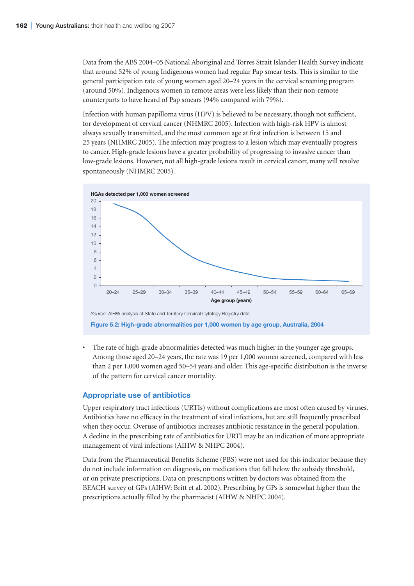Data from the ABS 2004–05 National Aboriginal and Torres Strait Islander Health Survey indicate that around 52% of young Indigenous women had regular Pap smear tests. This is similar to the general participation rate of young women aged 20–24 years in the cervical screening program (around 50%). Indigenous women in remote areas were less likely than their non-remote counterparts to have heard of Pap smears (94% compared with 79%).

Infection with human papilloma virus (HPV) is believed to be necessary, though not sufficient, for development of cervical cancer (NHMRC 2005). Infection with high-risk HPV is almost always sexually transmitted, and the most common age at first infection is between 15 and 25 years (NHMRC 2005). The infection may progress to a lesion which may eventually progress to cancer. High-grade lesions have a greater probability of progressing to invasive cancer than low-grade lesions. However, not all high-grade lesions result in cervical cancer, many will resolve spontaneously (NHMRC 2005).



• The rate of high-grade abnormalities detected was much higher in the younger age groups. Among those aged 20–24 years, the rate was 19 per 1,000 women screened, compared with less than 2 per 1,000 women aged 50–54 years and older. This age-specific distribution is the inverse of the pattern for cervical cancer mortality.

## **Appropriate use of antibiotics**

Upper respiratory tract infections (URTIs) without complications are most often caused by viruses. Antibiotics have no efficacy in the treatment of viral infections, but are still frequently prescribed when they occur. Overuse of antibiotics increases antibiotic resistance in the general population. A decline in the prescribing rate of antibiotics for URTI may be an indication of more appropriate management of viral infections (AIHW & NHPC 2004).

Data from the Pharmaceutical Benefits Scheme (PBS) were not used for this indicator because they do not include information on diagnosis, on medications that fall below the subsidy threshold, or on private prescriptions. Data on prescriptions written by doctors was obtained from the BEACH survey of GPs (AIHW: Britt et al. 2002). Prescribing by GPs is somewhat higher than the prescriptions actually filled by the pharmacist (AIHW & NHPC 2004).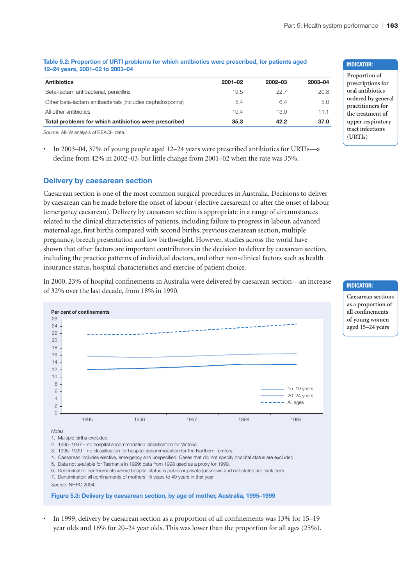## **Table 5.2: Proportion of URTI problems for which antibiotics were prescribed, for patients aged 12–24 years, 2001–02 to 2003–04**

| $2002 - 03$<br>2003-04 |
|------------------------|
| 22.7<br>20.8           |
| 5.0<br>6.4             |
| 11.1<br>13.0           |
| 37.0<br>42.2           |
|                        |

*Source:* AIHW analysis of BEACH data.

• In 2003–04, 37% of young people aged 12–24 years were prescribed antibiotics for URTIs—a decline from 42% in 2002–03, but little change from 2001–02 when the rate was 35%.

## **Delivery by caesarean section**

Caesarean section is one of the most common surgical procedures in Australia. Decisions to deliver by caesarean can be made before the onset of labour (elective caesarean) or after the onset of labour (emergency caesarean). Delivery by caesarean section is appropriate in a range of circumstances related to the clinical characteristics of patients, including failure to progress in labour, advanced maternal age, first births compared with second births, previous caesarean section, multiple pregnancy, breech presentation and low birthweight. However, studies across the world have shown that other factors are important contributors in the decision to deliver by caesarean section, including the practice patterns of individual doctors, and other non-clinical factors such as health insurance status, hospital characteristics and exercise of patient choice.

In 2000, 23% of hospital confinements in Australia were delivered by caesarean section—an increase of 32% over the last decade, from 18% in 1990.



• In 1999, delivery by caesarean section as a proportion of all confinements was 13% for 15–19 year olds and 16% for 20–24 year olds. This was lower than the proportion for all ages (25%).

#### **Indicator:**

**Indicator:**

**Caesarean sections as a proportion of all confinements of young women aged 15–24 years**

**Proportion of prescriptions for oral antibiotics ordered by general practitioners for the treatment of upper respiratory tract infections (URTIs)**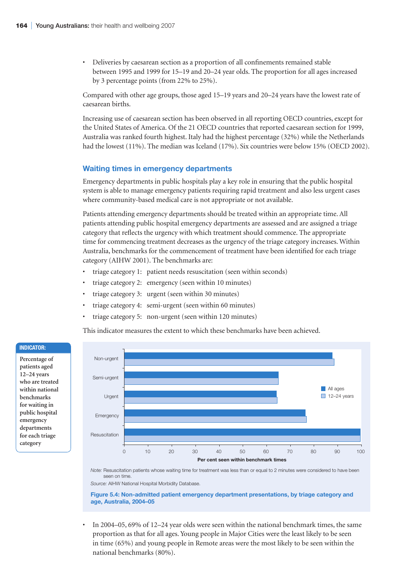• Deliveries by caesarean section as a proportion of all confinements remained stable between 1995 and 1999 for 15–19 and 20–24 year olds. The proportion for all ages increased by 3 percentage points (from 22% to 25%).

Compared with other age groups, those aged 15–19 years and 20–24 years have the lowest rate of caesarean births.

Increasing use of caesarean section has been observed in all reporting OECD countries, except for the United States of America. Of the 21 OECD countries that reported caesarean section for 1999, Australia was ranked fourth highest. Italy had the highest percentage (32%) while the Netherlands had the lowest (11%). The median was Iceland (17%). Six countries were below 15% (OECD 2002).

## **Waiting times in emergency departments**

Emergency departments in public hospitals play a key role in ensuring that the public hospital system is able to manage emergency patients requiring rapid treatment and also less urgent cases where community-based medical care is not appropriate or not available.

Patients attending emergency departments should be treated within an appropriate time. All patients attending public hospital emergency departments are assessed and are assigned a triage category that reflects the urgency with which treatment should commence. The appropriate time for commencing treatment decreases as the urgency of the triage category increases. Within Australia, benchmarks for the commencement of treatment have been identified for each triage category (AIHW 2001). The benchmarks are:

- triage category 1: patient needs resuscitation (seen within seconds)
- triage category 2: emergency (seen within 10 minutes)
- triage category 3: urgent (seen within 30 minutes)
- triage category 4: semi-urgent (seen within 60 minutes)
- triage category 5: non-urgent (seen within 120 minutes)

This indicator measures the extent to which these benchmarks have been achieved.



*Note:* Resuscitation patients whose waiting time for treatment was less than or equal to 2 minutes were considered to have been seen on time

*Source:* AIHW National Hospital Morbidity Database.

**Figure 5.4: Non-admitted patient emergency department presentations, by triage category and age, Australia, 2004–05**

• In 2004–05, 69% of 12–24 year olds were seen within the national benchmark times, the same proportion as that for all ages. Young people in Major Cities were the least likely to be seen in time (65%) and young people in Remote areas were the most likely to be seen within the national benchmarks (80%).

#### **Indicator:**

**Percentage of patients aged 12–24 years who are treated within national benchmarks for waiting in public hospital emergency departments for each triage category**